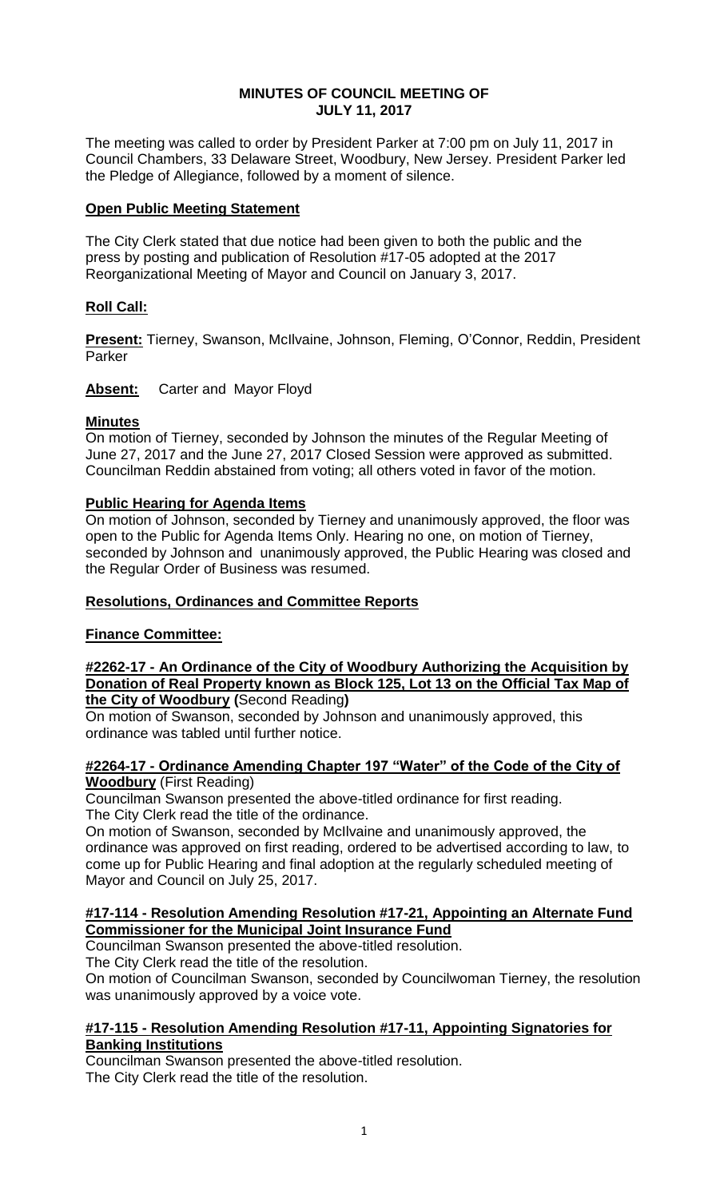## **MINUTES OF COUNCIL MEETING OF JULY 11, 2017**

The meeting was called to order by President Parker at 7:00 pm on July 11, 2017 in Council Chambers, 33 Delaware Street, Woodbury, New Jersey. President Parker led the Pledge of Allegiance, followed by a moment of silence.

## **Open Public Meeting Statement**

The City Clerk stated that due notice had been given to both the public and the press by posting and publication of Resolution #17-05 adopted at the 2017 Reorganizational Meeting of Mayor and Council on January 3, 2017.

# **Roll Call:**

**Present:** Tierney, Swanson, McIlvaine, Johnson, Fleming, O'Connor, Reddin, President Parker

**Absent:** Carter and Mayor Floyd

## **Minutes**

On motion of Tierney, seconded by Johnson the minutes of the Regular Meeting of June 27, 2017 and the June 27, 2017 Closed Session were approved as submitted. Councilman Reddin abstained from voting; all others voted in favor of the motion.

## **Public Hearing for Agenda Items**

On motion of Johnson, seconded by Tierney and unanimously approved, the floor was open to the Public for Agenda Items Only. Hearing no one, on motion of Tierney, seconded by Johnson and unanimously approved, the Public Hearing was closed and the Regular Order of Business was resumed.

#### **Resolutions, Ordinances and Committee Reports**

# **Finance Committee:**

#### **#2262-17 - An Ordinance of the City of Woodbury Authorizing the Acquisition by Donation of Real Property known as Block 125, Lot 13 on the Official Tax Map of the City of Woodbury (**Second Reading**)**

On motion of Swanson, seconded by Johnson and unanimously approved, this ordinance was tabled until further notice.

## **#2264-17 - Ordinance Amending Chapter 197 "Water" of the Code of the City of Woodbury** (First Reading)

Councilman Swanson presented the above-titled ordinance for first reading. The City Clerk read the title of the ordinance.

On motion of Swanson, seconded by McIlvaine and unanimously approved, the ordinance was approved on first reading, ordered to be advertised according to law, to come up for Public Hearing and final adoption at the regularly scheduled meeting of Mayor and Council on July 25, 2017.

## **#17-114 - Resolution Amending Resolution #17-21, Appointing an Alternate Fund Commissioner for the Municipal Joint Insurance Fund**

Councilman Swanson presented the above-titled resolution.

The City Clerk read the title of the resolution.

On motion of Councilman Swanson, seconded by Councilwoman Tierney, the resolution was unanimously approved by a voice vote.

#### **#17-115 - Resolution Amending Resolution #17-11, Appointing Signatories for Banking Institutions**

Councilman Swanson presented the above-titled resolution. The City Clerk read the title of the resolution.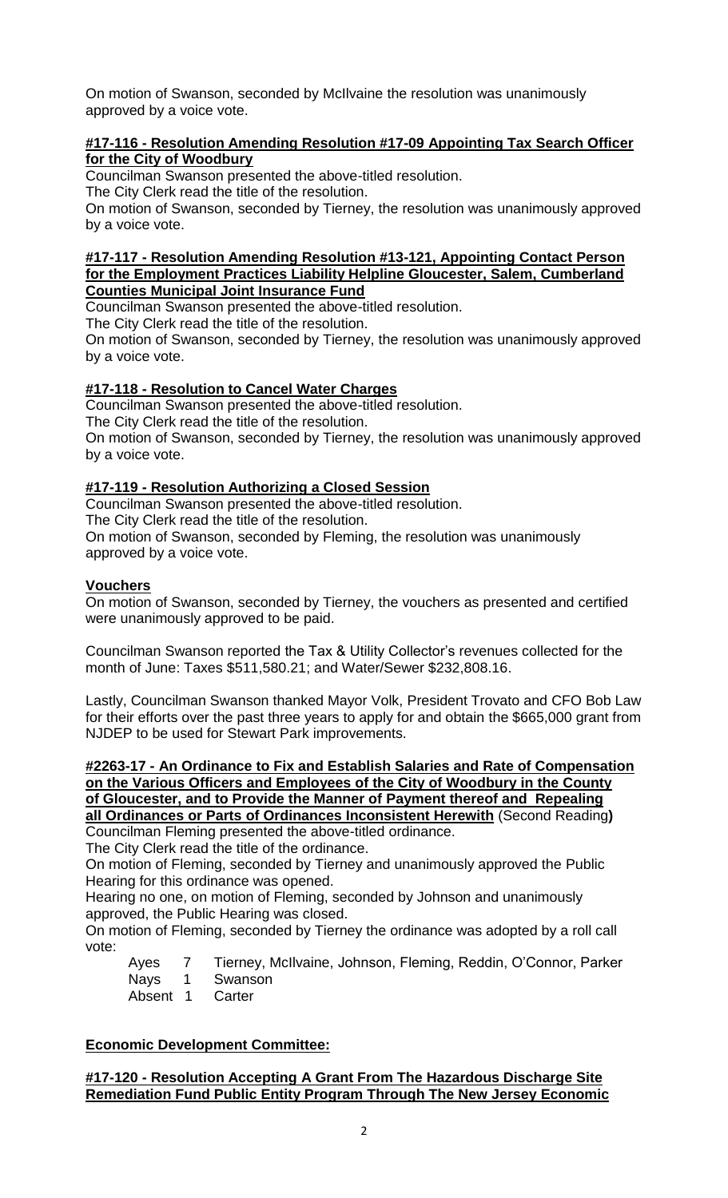On motion of Swanson, seconded by McIlvaine the resolution was unanimously approved by a voice vote.

## **#17-116 - Resolution Amending Resolution #17-09 Appointing Tax Search Officer for the City of Woodbury**

Councilman Swanson presented the above-titled resolution.

The City Clerk read the title of the resolution.

On motion of Swanson, seconded by Tierney, the resolution was unanimously approved by a voice vote.

#### **#17-117 - Resolution Amending Resolution #13-121, Appointing Contact Person for the Employment Practices Liability Helpline Gloucester, Salem, Cumberland Counties Municipal Joint Insurance Fund**

Councilman Swanson presented the above-titled resolution.

The City Clerk read the title of the resolution.

On motion of Swanson, seconded by Tierney, the resolution was unanimously approved by a voice vote.

# **#17-118 - Resolution to Cancel Water Charges**

Councilman Swanson presented the above-titled resolution.

The City Clerk read the title of the resolution.

On motion of Swanson, seconded by Tierney, the resolution was unanimously approved by a voice vote.

# **#17-119 - Resolution Authorizing a Closed Session**

Councilman Swanson presented the above-titled resolution. The City Clerk read the title of the resolution. On motion of Swanson, seconded by Fleming, the resolution was unanimously approved by a voice vote.

# **Vouchers**

On motion of Swanson, seconded by Tierney, the vouchers as presented and certified were unanimously approved to be paid.

Councilman Swanson reported the Tax & Utility Collector's revenues collected for the month of June: Taxes \$511,580.21; and Water/Sewer \$232,808.16.

Lastly, Councilman Swanson thanked Mayor Volk, President Trovato and CFO Bob Law for their efforts over the past three years to apply for and obtain the \$665,000 grant from NJDEP to be used for Stewart Park improvements.

**#2263-17 - An Ordinance to Fix and Establish Salaries and Rate of Compensation on the Various Officers and Employees of the City of Woodbury in the County of Gloucester, and to Provide the Manner of Payment thereof and Repealing all Ordinances or Parts of Ordinances Inconsistent Herewith** (Second Reading**)** Councilman Fleming presented the above-titled ordinance.

The City Clerk read the title of the ordinance.

On motion of Fleming, seconded by Tierney and unanimously approved the Public Hearing for this ordinance was opened.

Hearing no one, on motion of Fleming, seconded by Johnson and unanimously approved, the Public Hearing was closed.

On motion of Fleming, seconded by Tierney the ordinance was adopted by a roll call vote:

Ayes 7 Tierney, McIlvaine, Johnson, Fleming, Reddin, O'Connor, Parker

- Nays 1 Swanson
- Absent 1 Carter

# **Economic Development Committee:**

**#17-120 - Resolution Accepting A Grant From The Hazardous Discharge Site Remediation Fund Public Entity Program Through The New Jersey Economic**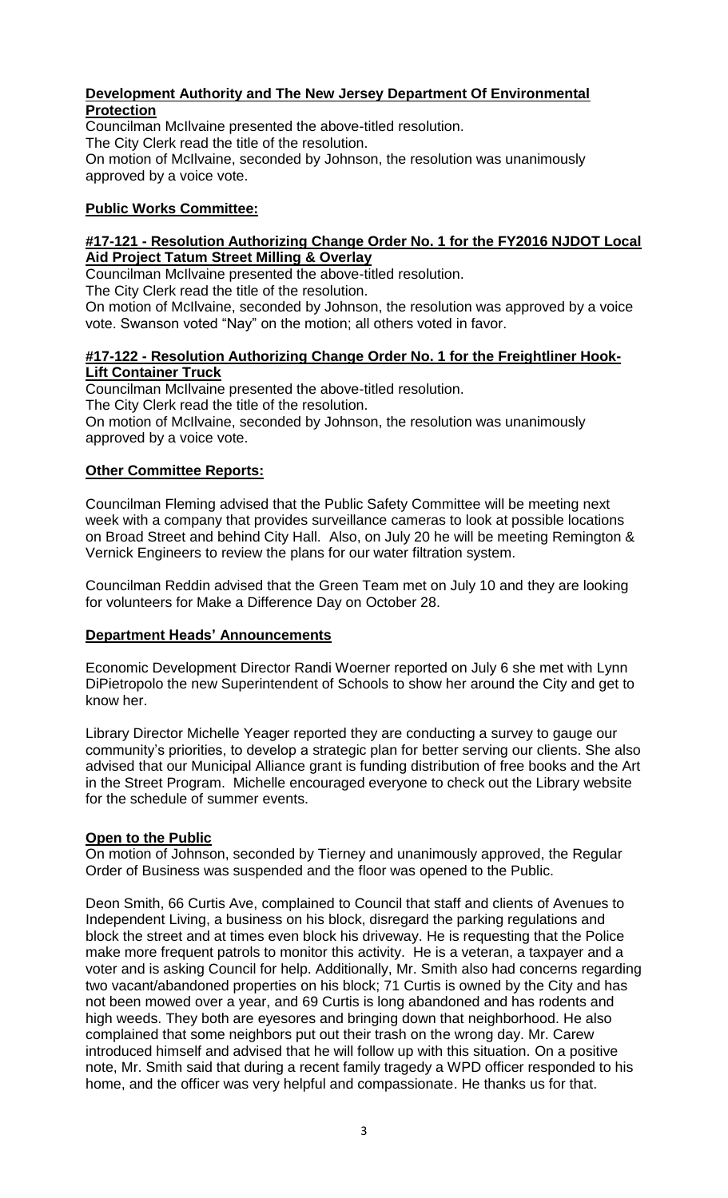# **Development Authority and The New Jersey Department Of Environmental Protection**

Councilman McIlvaine presented the above-titled resolution. The City Clerk read the title of the resolution. On motion of McIlvaine, seconded by Johnson, the resolution was unanimously approved by a voice vote.

# **Public Works Committee:**

# **#17-121 - Resolution Authorizing Change Order No. 1 for the FY2016 NJDOT Local Aid Project Tatum Street Milling & Overlay**

Councilman McIlvaine presented the above-titled resolution.

The City Clerk read the title of the resolution.

On motion of McIlvaine, seconded by Johnson, the resolution was approved by a voice vote. Swanson voted "Nay" on the motion; all others voted in favor.

## **#17-122 - Resolution Authorizing Change Order No. 1 for the Freightliner Hook-Lift Container Truck**

Councilman McIlvaine presented the above-titled resolution. The City Clerk read the title of the resolution. On motion of McIlvaine, seconded by Johnson, the resolution was unanimously approved by a voice vote.

# **Other Committee Reports:**

Councilman Fleming advised that the Public Safety Committee will be meeting next week with a company that provides surveillance cameras to look at possible locations on Broad Street and behind City Hall. Also, on July 20 he will be meeting Remington & Vernick Engineers to review the plans for our water filtration system.

Councilman Reddin advised that the Green Team met on July 10 and they are looking for volunteers for Make a Difference Day on October 28.

# **Department Heads' Announcements**

Economic Development Director Randi Woerner reported on July 6 she met with Lynn DiPietropolo the new Superintendent of Schools to show her around the City and get to know her.

Library Director Michelle Yeager reported they are conducting a survey to gauge our community's priorities, to develop a strategic plan for better serving our clients. She also advised that our Municipal Alliance grant is funding distribution of free books and the Art in the Street Program. Michelle encouraged everyone to check out the Library website for the schedule of summer events.

# **Open to the Public**

On motion of Johnson, seconded by Tierney and unanimously approved, the Regular Order of Business was suspended and the floor was opened to the Public.

Deon Smith, 66 Curtis Ave, complained to Council that staff and clients of Avenues to Independent Living, a business on his block, disregard the parking regulations and block the street and at times even block his driveway. He is requesting that the Police make more frequent patrols to monitor this activity. He is a veteran, a taxpayer and a voter and is asking Council for help. Additionally, Mr. Smith also had concerns regarding two vacant/abandoned properties on his block; 71 Curtis is owned by the City and has not been mowed over a year, and 69 Curtis is long abandoned and has rodents and high weeds. They both are eyesores and bringing down that neighborhood. He also complained that some neighbors put out their trash on the wrong day. Mr. Carew introduced himself and advised that he will follow up with this situation. On a positive note, Mr. Smith said that during a recent family tragedy a WPD officer responded to his home, and the officer was very helpful and compassionate. He thanks us for that.